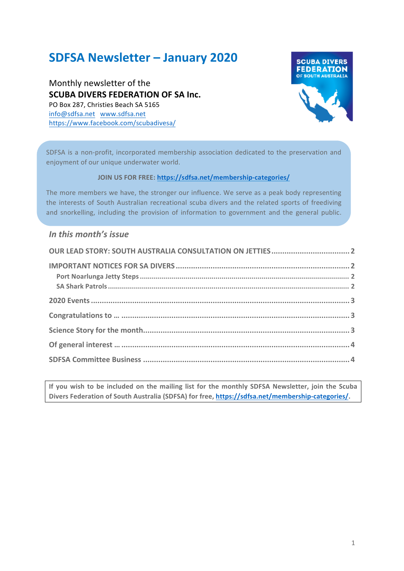# **SDFSA Newsletter – January 2020**

Monthly newsletter of the **SCUBA DIVERS FEDERATION OF SA Inc.** PO Box 287, Christies Beach SA 5165 info@sdfsa.net www.sdfsa.net https://www.facebook.com/scubadivesa/



SDFSA is a non-profit, incorporated membership association dedicated to the preservation and enjoyment of our unique underwater world.

#### **JOIN US FOR FREE: https://sdfsa.net/membership-categories/**

The more members we have, the stronger our influence. We serve as a peak body representing the interests of South Australian recreational scuba divers and the related sports of freediving and snorkelling, including the provision of information to government and the general public.

To gether we can can be calculated the  $\alpha$  in the  $\alpha$  -subset of  $\alpha$ 

#### In this month's *issue*

If you wish to be included on the mailing list for the monthly SDFSA Newsletter, join the Scuba Divers Federation of South Australia (SDFSA) for free, https://sdfsa.net/membership-categories/.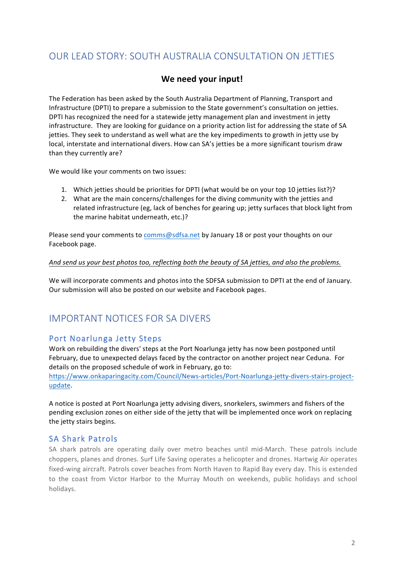# OUR LEAD STORY: SOUTH AUSTRALIA CONSULTATION ON JETTIES

### We need your input!

The Federation has been asked by the South Australia Department of Planning, Transport and Infrastructure (DPTI) to prepare a submission to the State government's consultation on jetties. DPTI has recognized the need for a statewide jetty management plan and investment in jetty infrastructure. They are looking for guidance on a priority action list for addressing the state of SA jetties. They seek to understand as well what are the key impediments to growth in jetty use by local, interstate and international divers. How can SA's jetties be a more significant tourism draw than they currently are?

We would like your comments on two issues:

- 1. Which jetties should be priorities for DPTI (what would be on your top 10 jetties list?)?
- 2. What are the main concerns/challenges for the diving community with the jetties and related infrastructure (eg, lack of benches for gearing up; jetty surfaces that block light from the marine habitat underneath, etc.)?

Please send your comments to comms@sdfsa.net by January 18 or post your thoughts on our Facebook page.

#### And send us your best photos too, reflecting both the beauty of SA jetties, and also the problems.

We will incorporate comments and photos into the SDFSA submission to DPTI at the end of January. Our submission will also be posted on our website and Facebook pages.

# IMPORTANT NOTICES FOR SA DIVERS

### Port Noarlunga Jetty Steps

Work on rebuilding the divers' steps at the Port Noarlunga jetty has now been postponed until February, due to unexpected delays faced by the contractor on another project near Ceduna. For details on the proposed schedule of work in February, go to:

https://www.onkaparingacity.com/Council/News-articles/Port-Noarlunga-jetty-divers-stairs-projectupdate. 

A notice is posted at Port Noarlunga jetty advising divers, snorkelers, swimmers and fishers of the pending exclusion zones on either side of the jetty that will be implemented once work on replacing the jetty stairs begins.

#### SA Shark Patrols

SA shark patrols are operating daily over metro beaches until mid-March. These patrols include choppers, planes and drones. Surf Life Saving operates a helicopter and drones. Hartwig Air operates fixed-wing aircraft. Patrols cover beaches from North Haven to Rapid Bay every day. This is extended to the coast from Victor Harbor to the Murray Mouth on weekends, public holidays and school holidays.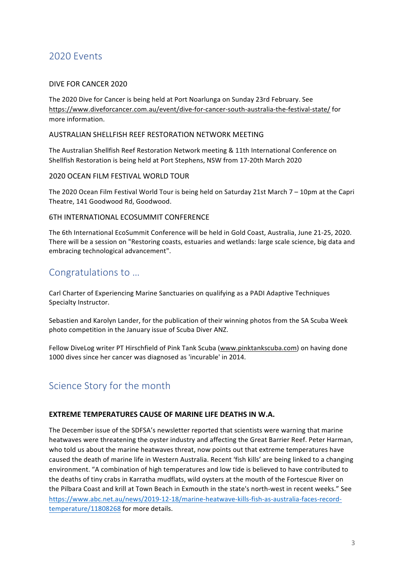## 2020 Events

#### DIVE FOR CANCER 2020

The 2020 Dive for Cancer is being held at Port Noarlunga on Sunday 23rd February. See https://www.diveforcancer.com.au/event/dive-for-cancer-south-australia-the-festival-state/ for more information.

#### AUSTRALIAN SHELLFISH REEF RESTORATION NETWORK MEETING

The Australian Shellfish Reef Restoration Network meeting & 11th International Conference on Shellfish Restoration is being held at Port Stephens, NSW from 17-20th March 2020

#### 2020 OCEAN FILM FESTIVAL WORLD TOUR

The 2020 Ocean Film Festival World Tour is being held on Saturday 21st March 7 – 10pm at the Capri Theatre, 141 Goodwood Rd, Goodwood.

#### 6TH INTERNATIONAL FCOSUMMIT CONFERENCE

The 6th International EcoSummit Conference will be held in Gold Coast, Australia, June 21-25, 2020. There will be a session on "Restoring coasts, estuaries and wetlands: large scale science, big data and embracing technological advancement".

### Congratulations to …

Carl Charter of Experiencing Marine Sanctuaries on qualifying as a PADI Adaptive Techniques Specialty Instructor.

Sebastien and Karolyn Lander, for the publication of their winning photos from the SA Scuba Week photo competition in the January issue of Scuba Diver ANZ.

Fellow DiveLog writer PT Hirschfield of Pink Tank Scuba (www.pinktankscuba.com) on having done 1000 dives since her cancer was diagnosed as 'incurable' in 2014.

# Science Story for the month

#### **EXTREME TEMPERATURES CAUSE OF MARINE LIFE DEATHS IN W.A.**

The December issue of the SDFSA's newsletter reported that scientists were warning that marine heatwaves were threatening the oyster industry and affecting the Great Barrier Reef. Peter Harman, who told us about the marine heatwaves threat, now points out that extreme temperatures have caused the death of marine life in Western Australia. Recent 'fish kills' are being linked to a changing environment. "A combination of high temperatures and low tide is believed to have contributed to the deaths of tiny crabs in Karratha mudflats, wild oysters at the mouth of the Fortescue River on the Pilbara Coast and krill at Town Beach in Exmouth in the state's north-west in recent weeks." See https://www.abc.net.au/news/2019-12-18/marine-heatwave-kills-fish-as-australia-faces-recordtemperature/11808268 for more details.